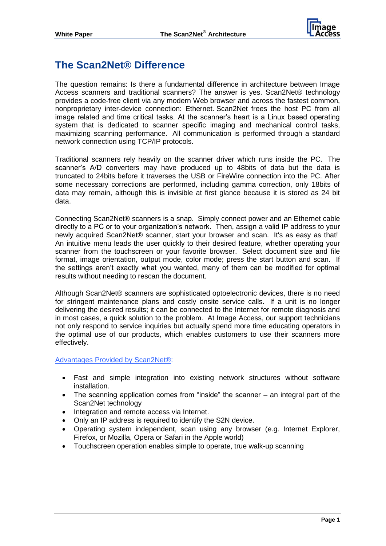

## **The Scan2Net® Difference**

The question remains: Is there a fundamental difference in architecture between Image Access scanners and traditional scanners? The answer is yes. Scan2Net® technology provides a code-free client via any modern Web browser and across the fastest common, nonproprietary inter-device connection: Ethernet. Scan2Net frees the host PC from all image related and time critical tasks. At the scanner's heart is a Linux based operating system that is dedicated to scanner specific imaging and mechanical control tasks, maximizing scanning performance. All communication is performed through a standard network connection using TCP/IP protocols.

Traditional scanners rely heavily on the scanner driver which runs inside the PC. The scanner's A/D converters may have produced up to 48bits of data but the data is truncated to 24bits before it traverses the USB or FireWire connection into the PC. After some necessary corrections are performed, including gamma correction, only 18bits of data may remain, although this is invisible at first glance because it is stored as 24 bit data.

Connecting Scan2Net® scanners is a snap. Simply connect power and an Ethernet cable directly to a PC or to your organization's network. Then, assign a valid IP address to your newly acquired Scan2Net® scanner, start your browser and scan. It's as easy as that! An intuitive menu leads the user quickly to their desired feature, whether operating your scanner from the touchscreen or your favorite browser. Select document size and file format, image orientation, output mode, color mode; press the start button and scan. If the settings aren't exactly what you wanted, many of them can be modified for optimal results without needing to rescan the document.

Although Scan2Net® scanners are sophisticated optoelectronic devices, there is no need for stringent maintenance plans and costly onsite service calls. If a unit is no longer delivering the desired results; it can be connected to the Internet for remote diagnosis and in most cases, a quick solution to the problem. At Image Access, our support technicians not only respond to service inquiries but actually spend more time educating operators in the optimal use of our products, which enables customers to use their scanners more effectively.

Advantages Provided by Scan2Net®:

- Fast and simple integration into existing network structures without software installation.
- The scanning application comes from "inside" the scanner an integral part of the Scan2Net technology
- Integration and remote access via Internet.
- Only an IP address is required to identify the S2N device.
- Operating system independent, scan using any browser (e.g. Internet Explorer, Firefox, or Mozilla, Opera or Safari in the Apple world)
- Touchscreen operation enables simple to operate, true walk-up scanning